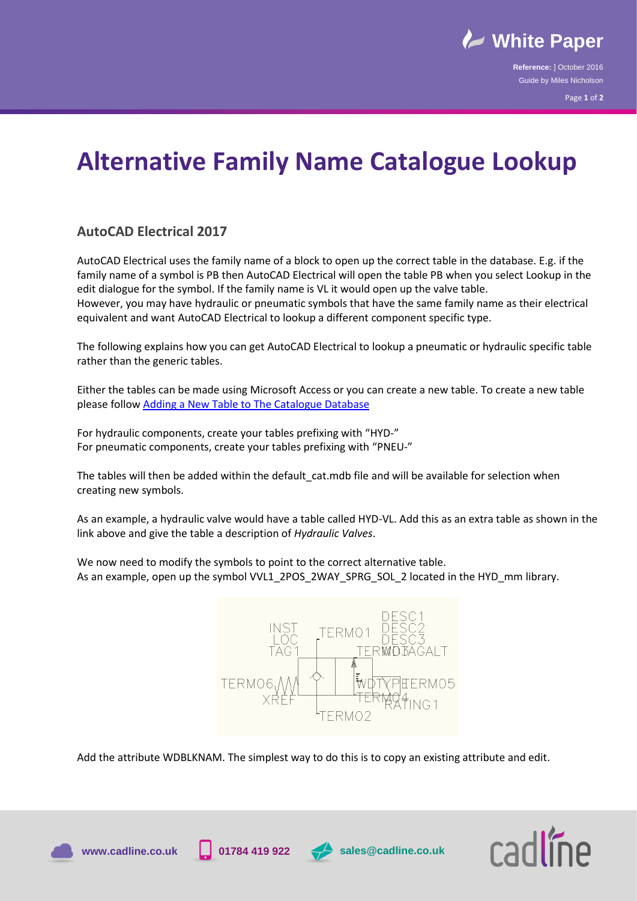

**Reference:** ] October 2016 Guide by Miles Nicholson

Page **1** of **2**

## **Alternative Family Name Catalogue Lookup**

## **AutoCAD Electrical 2017**

AutoCAD Electrical uses the family name of a block to open up the correct table in the database. E.g. if the family name of a symbol is PB then AutoCAD Electrical will open the table PB when you select Lookup in the edit dialogue for the symbol. If the family name is VL it would open up the valve table. However, you may have hydraulic or pneumatic symbols that have the same family name as their electrical equivalent and want AutoCAD Electrical to lookup a different component specific type.

The following explains how you can get AutoCAD Electrical to lookup a pneumatic or hydraulic specific table rather than the generic tables.

Either the tables can be made using Microsoft Access or you can create a new table. To create a new table please follo[w Adding a New Table to The Catalogue Database](https://www.cadlinecommunity.co.uk/hc/en-us/articles/201736512-AutoCAD-Electrical-Adding-a-Table-to-the-Catalogue-Database)

For hydraulic components, create your tables prefixing with "HYD-" For pneumatic components, create your tables prefixing with "PNEU-"

The tables will then be added within the default cat.mdb file and will be available for selection when creating new symbols.

As an example, a hydraulic valve would have a table called HYD‐VL. Add this as an extra table as shown in the link above and give the table a description of *Hydraulic Valves*.

We now need to modify the symbols to point to the correct alternative table. As an example, open up the symbol VVL1\_2POS\_2WAY\_SPRG\_SOL\_2 located in the HYD\_mm library.



Add the attribute WDBLKNAM. The simplest way to do this is to copy an existing attribute and edit.